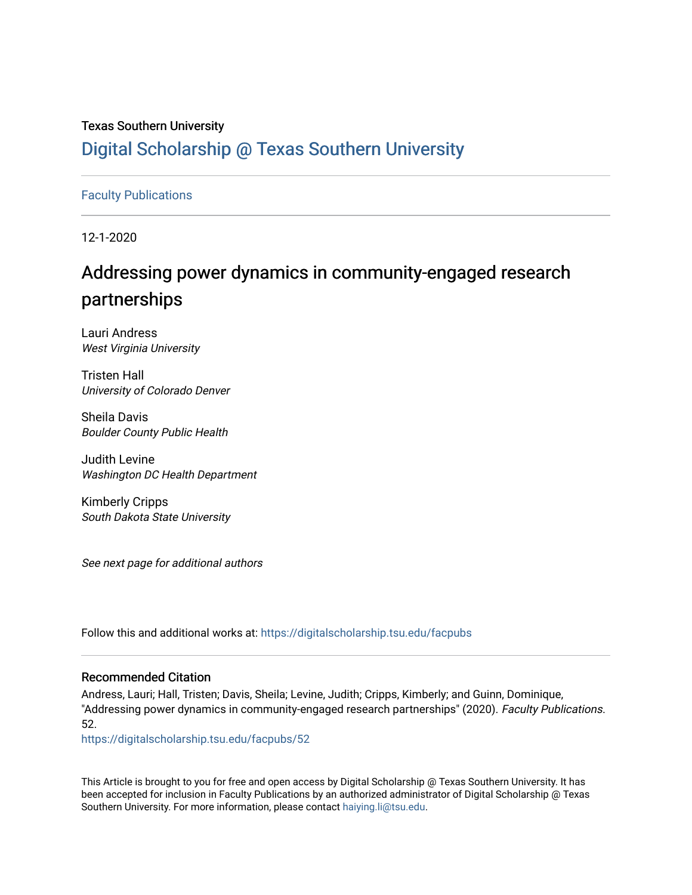## Texas Southern University [Digital Scholarship @ Texas Southern University](https://digitalscholarship.tsu.edu/)

### [Faculty Publications](https://digitalscholarship.tsu.edu/facpubs)

12-1-2020

## Addressing power dynamics in community-engaged research partnerships

Lauri Andress West Virginia University

Tristen Hall University of Colorado Denver

Sheila Davis Boulder County Public Health

Judith Levine Washington DC Health Department

Kimberly Cripps South Dakota State University

See next page for additional authors

Follow this and additional works at: [https://digitalscholarship.tsu.edu/facpubs](https://digitalscholarship.tsu.edu/facpubs?utm_source=digitalscholarship.tsu.edu%2Ffacpubs%2F52&utm_medium=PDF&utm_campaign=PDFCoverPages) 

### Recommended Citation

Andress, Lauri; Hall, Tristen; Davis, Sheila; Levine, Judith; Cripps, Kimberly; and Guinn, Dominique, "Addressing power dynamics in community-engaged research partnerships" (2020). Faculty Publications. 52.

[https://digitalscholarship.tsu.edu/facpubs/52](https://digitalscholarship.tsu.edu/facpubs/52?utm_source=digitalscholarship.tsu.edu%2Ffacpubs%2F52&utm_medium=PDF&utm_campaign=PDFCoverPages)

This Article is brought to you for free and open access by Digital Scholarship @ Texas Southern University. It has been accepted for inclusion in Faculty Publications by an authorized administrator of Digital Scholarship @ Texas Southern University. For more information, please contact [haiying.li@tsu.edu](mailto:haiying.li@tsu.edu).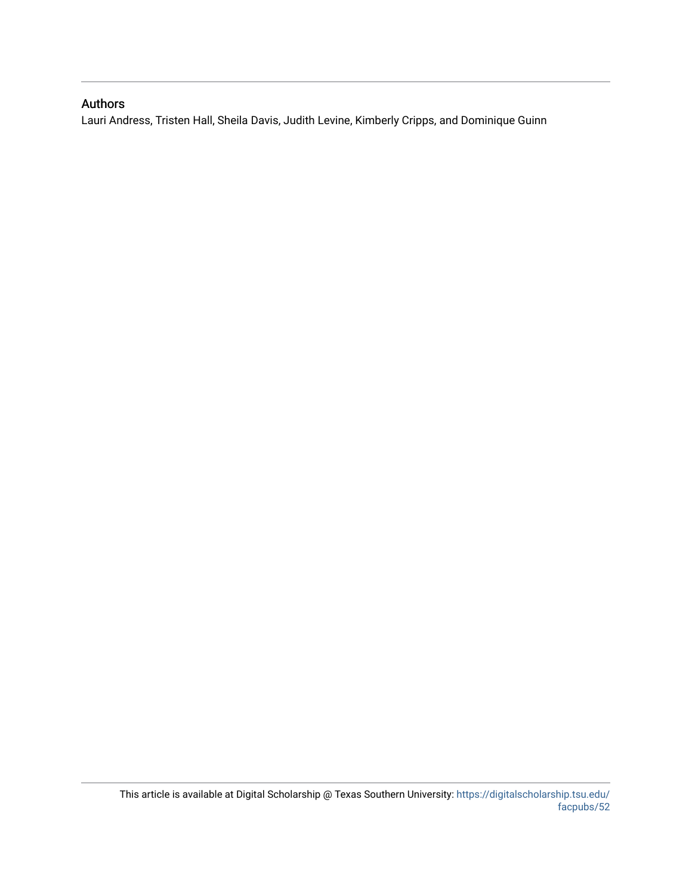## Authors

Lauri Andress, Tristen Hall, Sheila Davis, Judith Levine, Kimberly Cripps, and Dominique Guinn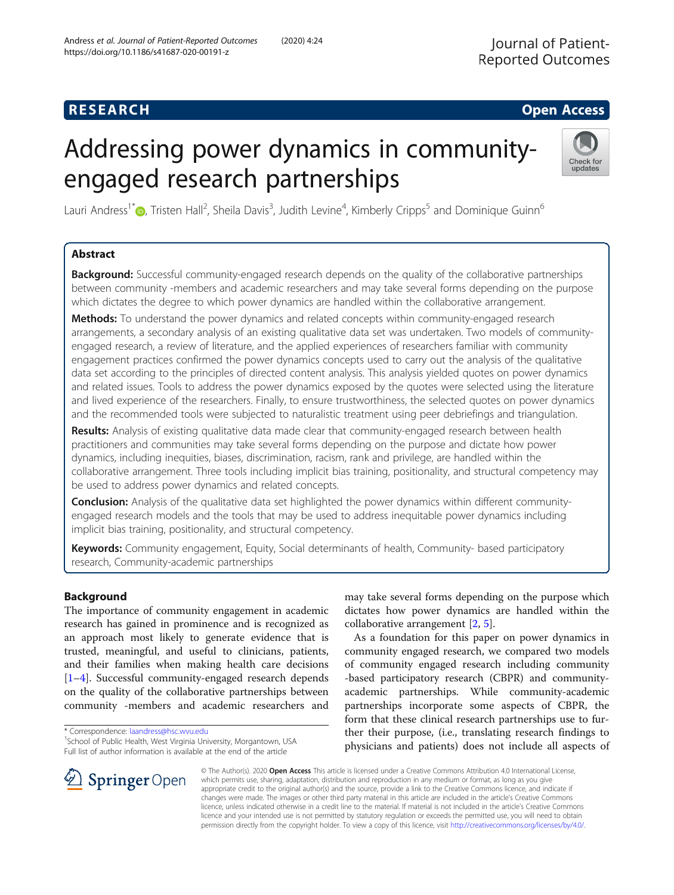## **RESEARCH CHE Open Access**

# Addressing power dynamics in communityengaged research partnerships



Lauri Andress<sup>1\*</sup>®, Tristen Hall<sup>2</sup>, Sheila Davis<sup>3</sup>, Judith Levine<sup>4</sup>, Kimberly Cripps<sup>5</sup> and Dominique Guinn<sup>6</sup>

### Abstract

**Background:** Successful community-engaged research depends on the quality of the collaborative partnerships between community -members and academic researchers and may take several forms depending on the purpose which dictates the degree to which power dynamics are handled within the collaborative arrangement.

Methods: To understand the power dynamics and related concepts within community-engaged research arrangements, a secondary analysis of an existing qualitative data set was undertaken. Two models of communityengaged research, a review of literature, and the applied experiences of researchers familiar with community engagement practices confirmed the power dynamics concepts used to carry out the analysis of the qualitative data set according to the principles of directed content analysis. This analysis yielded quotes on power dynamics and related issues. Tools to address the power dynamics exposed by the quotes were selected using the literature and lived experience of the researchers. Finally, to ensure trustworthiness, the selected quotes on power dynamics and the recommended tools were subjected to naturalistic treatment using peer debriefings and triangulation.

Results: Analysis of existing qualitative data made clear that community-engaged research between health practitioners and communities may take several forms depending on the purpose and dictate how power dynamics, including inequities, biases, discrimination, racism, rank and privilege, are handled within the collaborative arrangement. Three tools including implicit bias training, positionality, and structural competency may be used to address power dynamics and related concepts.

**Conclusion:** Analysis of the qualitative data set highlighted the power dynamics within different communityengaged research models and the tools that may be used to address inequitable power dynamics including implicit bias training, positionality, and structural competency.

Keywords: Community engagement, Equity, Social determinants of health, Community- based participatory research, Community-academic partnerships

#### Background

The importance of community engagement in academic research has gained in prominence and is recognized as an approach most likely to generate evidence that is trusted, meaningful, and useful to clinicians, patients, and their families when making health care decisions [[1](#page-8-0)–[4\]](#page-8-0). Successful community-engaged research depends on the quality of the collaborative partnerships between community -members and academic researchers and

SpringerOpen

<sup>1</sup> School of Public Health, West Virginia University, Morgantown, USA Full list of author information is available at the end of the article



As a foundation for this paper on power dynamics in community engaged research, we compared two models of community engaged research including community -based participatory research (CBPR) and communityacademic partnerships. While community-academic partnerships incorporate some aspects of CBPR, the form that these clinical research partnerships use to further their purpose, (i.e., translating research findings to physicians and patients) does not include all aspects of

© The Author(s). 2020 Open Access This article is licensed under a Creative Commons Attribution 4.0 International License, which permits use, sharing, adaptation, distribution and reproduction in any medium or format, as long as you give appropriate credit to the original author(s) and the source, provide a link to the Creative Commons licence, and indicate if changes were made. The images or other third party material in this article are included in the article's Creative Commons licence, unless indicated otherwise in a credit line to the material. If material is not included in the article's Creative Commons licence and your intended use is not permitted by statutory regulation or exceeds the permitted use, you will need to obtain permission directly from the copyright holder. To view a copy of this licence, visit <http://creativecommons.org/licenses/by/4.0/>.

<sup>\*</sup> Correspondence: [laandress@hsc.wvu.edu](mailto:laandress@hsc.wvu.edu) <sup>1</sup>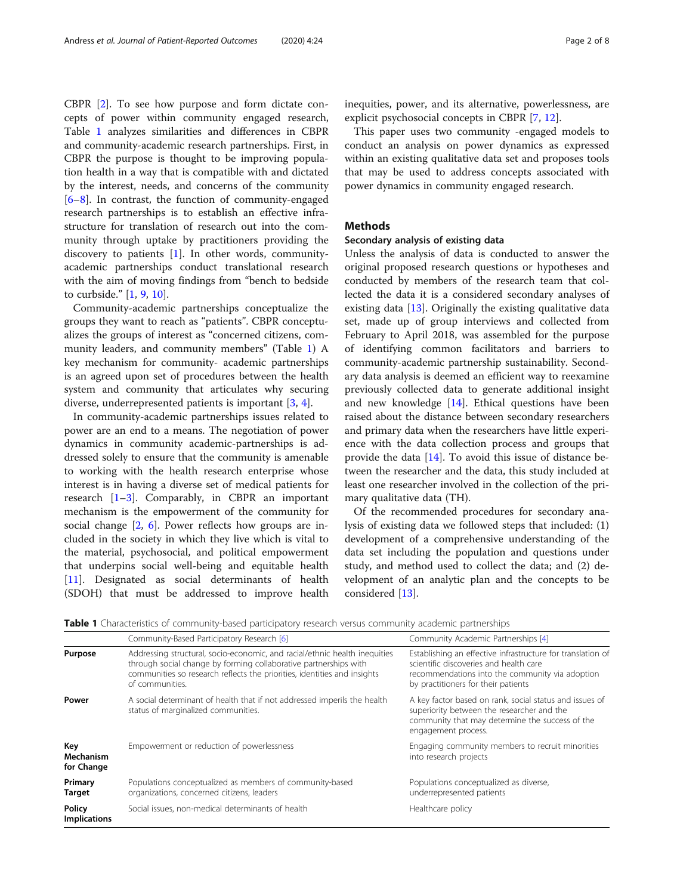CBPR [\[2](#page-8-0)]. To see how purpose and form dictate concepts of power within community engaged research, Table 1 analyzes similarities and differences in CBPR and community-academic research partnerships. First, in CBPR the purpose is thought to be improving population health in a way that is compatible with and dictated by the interest, needs, and concerns of the community [[6](#page-8-0)–[8\]](#page-9-0). In contrast, the function of community-engaged research partnerships is to establish an effective infrastructure for translation of research out into the community through uptake by practitioners providing the discovery to patients [\[1](#page-8-0)]. In other words, communityacademic partnerships conduct translational research with the aim of moving findings from "bench to bedside to curbside." [\[1](#page-8-0), [9](#page-9-0), [10](#page-9-0)].

Community-academic partnerships conceptualize the groups they want to reach as "patients". CBPR conceptualizes the groups of interest as "concerned citizens, community leaders, and community members" (Table 1) A key mechanism for community- academic partnerships is an agreed upon set of procedures between the health system and community that articulates why securing diverse, underrepresented patients is important [\[3](#page-8-0), [4](#page-8-0)].

In community-academic partnerships issues related to power are an end to a means. The negotiation of power dynamics in community academic-partnerships is addressed solely to ensure that the community is amenable to working with the health research enterprise whose interest is in having a diverse set of medical patients for research [[1](#page-8-0)–[3\]](#page-8-0). Comparably, in CBPR an important mechanism is the empowerment of the community for social change [[2,](#page-8-0) [6\]](#page-8-0). Power reflects how groups are included in the society in which they live which is vital to the material, psychosocial, and political empowerment that underpins social well-being and equitable health [[11\]](#page-9-0). Designated as social determinants of health (SDOH) that must be addressed to improve health inequities, power, and its alternative, powerlessness, are explicit psychosocial concepts in CBPR [\[7](#page-8-0), [12](#page-9-0)].

This paper uses two community -engaged models to conduct an analysis on power dynamics as expressed within an existing qualitative data set and proposes tools that may be used to address concepts associated with power dynamics in community engaged research.

#### **Methods**

#### Secondary analysis of existing data

Unless the analysis of data is conducted to answer the original proposed research questions or hypotheses and conducted by members of the research team that collected the data it is a considered secondary analyses of existing data [[13\]](#page-9-0). Originally the existing qualitative data set, made up of group interviews and collected from February to April 2018, was assembled for the purpose of identifying common facilitators and barriers to community-academic partnership sustainability. Secondary data analysis is deemed an efficient way to reexamine previously collected data to generate additional insight and new knowledge [\[14](#page-9-0)]. Ethical questions have been raised about the distance between secondary researchers and primary data when the researchers have little experience with the data collection process and groups that provide the data [\[14](#page-9-0)]. To avoid this issue of distance between the researcher and the data, this study included at least one researcher involved in the collection of the primary qualitative data (TH).

Of the recommended procedures for secondary analysis of existing data we followed steps that included: (1) development of a comprehensive understanding of the data set including the population and questions under study, and method used to collect the data; and (2) development of an analytic plan and the concepts to be considered [[13\]](#page-9-0).

Table 1 Characteristics of community-based participatory research versus community academic partnerships

|                                | Community-Based Participatory Research [6]                                                                                                                                                                                                    | Community Academic Partnerships [4]                                                                                                                                                             |
|--------------------------------|-----------------------------------------------------------------------------------------------------------------------------------------------------------------------------------------------------------------------------------------------|-------------------------------------------------------------------------------------------------------------------------------------------------------------------------------------------------|
| Purpose                        | Addressing structural, socio-economic, and racial/ethnic health inequities<br>through social change by forming collaborative partnerships with<br>communities so research reflects the priorities, identities and insights<br>of communities. | Establishing an effective infrastructure for translation of<br>scientific discoveries and health care<br>recommendations into the community via adoption<br>by practitioners for their patients |
| Power                          | A social determinant of health that if not addressed imperils the health<br>status of marginalized communities.                                                                                                                               | A key factor based on rank, social status and issues of<br>superiority between the researcher and the<br>community that may determine the success of the<br>engagement process.                 |
| Key<br>Mechanism<br>for Change | Empowerment or reduction of powerlessness                                                                                                                                                                                                     | Engaging community members to recruit minorities<br>into research projects                                                                                                                      |
| Primary<br><b>Target</b>       | Populations conceptualized as members of community-based<br>organizations, concerned citizens, leaders                                                                                                                                        | Populations conceptualized as diverse,<br>underrepresented patients                                                                                                                             |
| Policy<br><b>Implications</b>  | Social issues, non-medical determinants of health                                                                                                                                                                                             | Healthcare policy                                                                                                                                                                               |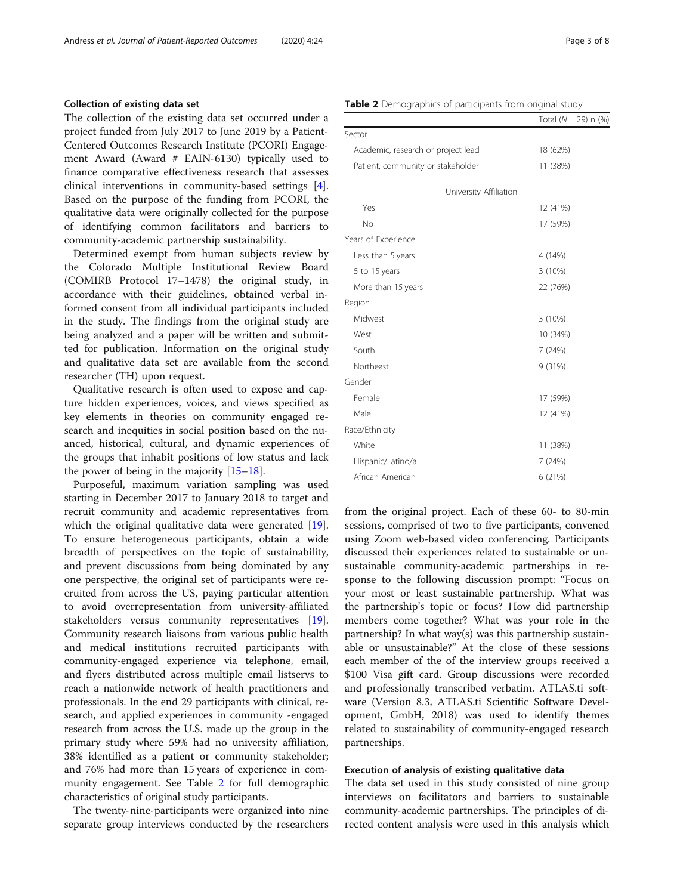#### Collection of existing data set

The collection of the existing data set occurred under a project funded from July 2017 to June 2019 by a Patient-Centered Outcomes Research Institute (PCORI) Engagement Award (Award # EAIN-6130) typically used to finance comparative effectiveness research that assesses clinical interventions in community-based settings [\[4](#page-8-0)]. Based on the purpose of the funding from PCORI, the qualitative data were originally collected for the purpose of identifying common facilitators and barriers to community-academic partnership sustainability.

Determined exempt from human subjects review by the Colorado Multiple Institutional Review Board (COMIRB Protocol 17–1478) the original study, in accordance with their guidelines, obtained verbal informed consent from all individual participants included in the study. The findings from the original study are being analyzed and a paper will be written and submitted for publication. Information on the original study and qualitative data set are available from the second researcher (TH) upon request.

Qualitative research is often used to expose and capture hidden experiences, voices, and views specified as key elements in theories on community engaged research and inequities in social position based on the nuanced, historical, cultural, and dynamic experiences of the groups that inhabit positions of low status and lack the power of being in the majority [[15](#page-9-0)–[18](#page-9-0)].

Purposeful, maximum variation sampling was used starting in December 2017 to January 2018 to target and recruit community and academic representatives from which the original qualitative data were generated [\[19](#page-9-0)]. To ensure heterogeneous participants, obtain a wide breadth of perspectives on the topic of sustainability, and prevent discussions from being dominated by any one perspective, the original set of participants were recruited from across the US, paying particular attention to avoid overrepresentation from university-affiliated stakeholders versus community representatives [\[19](#page-9-0)]. Community research liaisons from various public health and medical institutions recruited participants with community-engaged experience via telephone, email, and flyers distributed across multiple email listservs to reach a nationwide network of health practitioners and professionals. In the end 29 participants with clinical, research, and applied experiences in community -engaged research from across the U.S. made up the group in the primary study where 59% had no university affiliation, 38% identified as a patient or community stakeholder; and 76% had more than 15 years of experience in community engagement. See Table 2 for full demographic characteristics of original study participants.

The twenty-nine-participants were organized into nine separate group interviews conducted by the researchers

| Table 2 Demographics of participants from original study |  |  |  |
|----------------------------------------------------------|--|--|--|
|----------------------------------------------------------|--|--|--|

| ╯<br>л.                            |                           |
|------------------------------------|---------------------------|
|                                    | Total $(N = 29)$ n $(\%)$ |
| Sector                             |                           |
| Academic, research or project lead | 18 (62%)                  |
| Patient, community or stakeholder  | 11 (38%)                  |
| University Affiliation             |                           |
| Yes                                | 12 (41%)                  |
| <b>No</b>                          | 17 (59%)                  |
| Years of Experience                |                           |
| Less than 5 years                  | 4 (14%)                   |
| 5 to 15 years                      | 3(10%)                    |
| More than 15 years                 | 22 (76%)                  |
| Region                             |                           |
| Midwest                            | 3 (10%)                   |
| West                               | 10 (34%)                  |
| South                              | 7(24%)                    |
| Northeast                          | 9 (31%)                   |
| Gender                             |                           |
| Female                             | 17 (59%)                  |
| Male                               | 12 (41%)                  |
| Race/Ethnicity                     |                           |
| White                              | 11 (38%)                  |
| Hispanic/Latino/a                  | 7 (24%)                   |
| African American                   | 6 (21%)                   |

from the original project. Each of these 60- to 80-min sessions, comprised of two to five participants, convened using Zoom web-based video conferencing. Participants discussed their experiences related to sustainable or unsustainable community-academic partnerships in response to the following discussion prompt: "Focus on your most or least sustainable partnership. What was the partnership's topic or focus? How did partnership members come together? What was your role in the partnership? In what way(s) was this partnership sustainable or unsustainable?" At the close of these sessions each member of the of the interview groups received a \$100 Visa gift card. Group discussions were recorded and professionally transcribed verbatim. ATLAS.ti software (Version 8.3, ATLAS.ti Scientific Software Development, GmbH, 2018) was used to identify themes related to sustainability of community-engaged research partnerships.

#### Execution of analysis of existing qualitative data

The data set used in this study consisted of nine group interviews on facilitators and barriers to sustainable community-academic partnerships. The principles of directed content analysis were used in this analysis which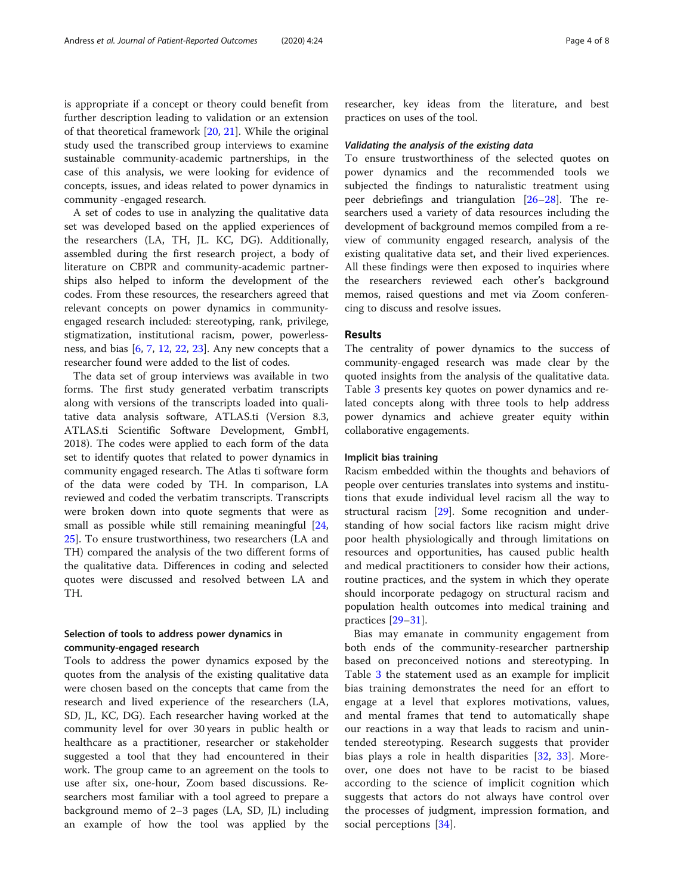is appropriate if a concept or theory could benefit from further description leading to validation or an extension of that theoretical framework [[20,](#page-9-0) [21\]](#page-9-0). While the original study used the transcribed group interviews to examine sustainable community-academic partnerships, in the case of this analysis, we were looking for evidence of concepts, issues, and ideas related to power dynamics in community -engaged research.

A set of codes to use in analyzing the qualitative data set was developed based on the applied experiences of the researchers (LA, TH, JL. KC, DG). Additionally, assembled during the first research project, a body of literature on CBPR and community-academic partnerships also helped to inform the development of the codes. From these resources, the researchers agreed that relevant concepts on power dynamics in communityengaged research included: stereotyping, rank, privilege, stigmatization, institutional racism, power, powerlessness, and bias [[6](#page-8-0), [7,](#page-8-0) [12,](#page-9-0) [22,](#page-9-0) [23\]](#page-9-0). Any new concepts that a researcher found were added to the list of codes.

The data set of group interviews was available in two forms. The first study generated verbatim transcripts along with versions of the transcripts loaded into qualitative data analysis software, ATLAS.ti (Version 8.3, ATLAS.ti Scientific Software Development, GmbH, 2018). The codes were applied to each form of the data set to identify quotes that related to power dynamics in community engaged research. The Atlas ti software form of the data were coded by TH. In comparison, LA reviewed and coded the verbatim transcripts. Transcripts were broken down into quote segments that were as small as possible while still remaining meaningful [[24](#page-9-0), [25\]](#page-9-0). To ensure trustworthiness, two researchers (LA and TH) compared the analysis of the two different forms of the qualitative data. Differences in coding and selected quotes were discussed and resolved between LA and TH.

#### Selection of tools to address power dynamics in community-engaged research

Tools to address the power dynamics exposed by the quotes from the analysis of the existing qualitative data were chosen based on the concepts that came from the research and lived experience of the researchers (LA, SD, JL, KC, DG). Each researcher having worked at the community level for over 30 years in public health or healthcare as a practitioner, researcher or stakeholder suggested a tool that they had encountered in their work. The group came to an agreement on the tools to use after six, one-hour, Zoom based discussions. Researchers most familiar with a tool agreed to prepare a background memo of 2–3 pages (LA, SD, JL) including an example of how the tool was applied by the researcher, key ideas from the literature, and best practices on uses of the tool.

#### Validating the analysis of the existing data

To ensure trustworthiness of the selected quotes on power dynamics and the recommended tools we subjected the findings to naturalistic treatment using peer debriefings and triangulation [[26](#page-9-0)–[28](#page-9-0)]. The researchers used a variety of data resources including the development of background memos compiled from a review of community engaged research, analysis of the existing qualitative data set, and their lived experiences. All these findings were then exposed to inquiries where the researchers reviewed each other's background memos, raised questions and met via Zoom conferencing to discuss and resolve issues.

#### Results

The centrality of power dynamics to the success of community-engaged research was made clear by the quoted insights from the analysis of the qualitative data. Table [3](#page-6-0) presents key quotes on power dynamics and related concepts along with three tools to help address power dynamics and achieve greater equity within collaborative engagements.

#### Implicit bias training

Racism embedded within the thoughts and behaviors of people over centuries translates into systems and institutions that exude individual level racism all the way to structural racism [[29\]](#page-9-0). Some recognition and understanding of how social factors like racism might drive poor health physiologically and through limitations on resources and opportunities, has caused public health and medical practitioners to consider how their actions, routine practices, and the system in which they operate should incorporate pedagogy on structural racism and population health outcomes into medical training and practices [[29](#page-9-0)–[31](#page-9-0)].

Bias may emanate in community engagement from both ends of the community-researcher partnership based on preconceived notions and stereotyping. In Table [3](#page-6-0) the statement used as an example for implicit bias training demonstrates the need for an effort to engage at a level that explores motivations, values, and mental frames that tend to automatically shape our reactions in a way that leads to racism and unintended stereotyping. Research suggests that provider bias plays a role in health disparities [\[32](#page-9-0), [33](#page-9-0)]. Moreover, one does not have to be racist to be biased according to the science of implicit cognition which suggests that actors do not always have control over the processes of judgment, impression formation, and social perceptions [\[34\]](#page-9-0).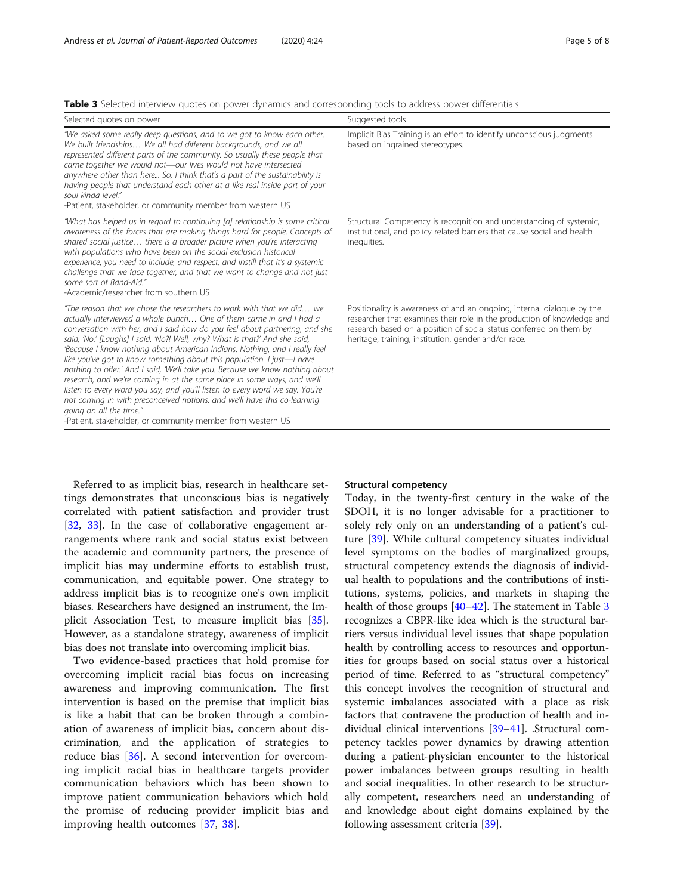<span id="page-6-0"></span>

| Selected quotes on power                                                                                                                                                                                                                                                                                                                                                                                                                                                                                                                                                                                                                                                                                                                                                                                                                                                          | Suggested tools                                                                                                                                                                                                                                                                |
|-----------------------------------------------------------------------------------------------------------------------------------------------------------------------------------------------------------------------------------------------------------------------------------------------------------------------------------------------------------------------------------------------------------------------------------------------------------------------------------------------------------------------------------------------------------------------------------------------------------------------------------------------------------------------------------------------------------------------------------------------------------------------------------------------------------------------------------------------------------------------------------|--------------------------------------------------------------------------------------------------------------------------------------------------------------------------------------------------------------------------------------------------------------------------------|
| "We asked some really deep questions, and so we got to know each other.<br>We built friendships We all had different backgrounds, and we all<br>represented different parts of the community. So usually these people that<br>came together we would not-our lives would not have intersected<br>anywhere other than here So, I think that's a part of the sustainability is<br>having people that understand each other at a like real inside part of your<br>soul kinda level."<br>-Patient, stakeholder, or community member from western US                                                                                                                                                                                                                                                                                                                                   | Implicit Bias Training is an effort to identify unconscious judgments<br>based on ingrained stereotypes.                                                                                                                                                                       |
| "What has helped us in regard to continuing [a] relationship is some critical<br>awareness of the forces that are making things hard for people. Concepts of<br>shared social justice there is a broader picture when you're interacting<br>with populations who have been on the social exclusion historical<br>experience, you need to include, and respect, and instill that it's a systemic<br>challenge that we face together, and that we want to change and not just<br>some sort of Band-Aid."<br>-Academic/researcher from southern US                                                                                                                                                                                                                                                                                                                                   | Structural Competency is recognition and understanding of systemic,<br>institutional, and policy related barriers that cause social and health<br>inequities.                                                                                                                  |
| "The reason that we chose the researchers to work with that we did we<br>actually interviewed a whole bunch One of them came in and I had a<br>conversation with her, and I said how do you feel about partnering, and she<br>said, 'No.' [Laughs] I said, 'No?! Well, why? What is that?' And she said,<br>'Because I know nothing about American Indians. Nothing, and I really feel<br>like you've got to know something about this population. I just—I have<br>nothing to offer.' And I said, 'We'll take you. Because we know nothing about<br>research, and we're coming in at the same place in some ways, and we'll<br>listen to every word you say, and you'll listen to every word we say. You're<br>not coming in with preconceived notions, and we'll have this co-learning<br>going on all the time."<br>-Patient, stakeholder, or community member from western US | Positionality is awareness of and an ongoing, internal dialogue by the<br>researcher that examines their role in the production of knowledge and<br>research based on a position of social status conferred on them by<br>heritage, training, institution, gender and/or race. |

Referred to as implicit bias, research in healthcare settings demonstrates that unconscious bias is negatively correlated with patient satisfaction and provider trust [[32,](#page-9-0) [33](#page-9-0)]. In the case of collaborative engagement arrangements where rank and social status exist between the academic and community partners, the presence of implicit bias may undermine efforts to establish trust, communication, and equitable power. One strategy to address implicit bias is to recognize one's own implicit biases. Researchers have designed an instrument, the Implicit Association Test, to measure implicit bias [\[35](#page-9-0)]. However, as a standalone strategy, awareness of implicit bias does not translate into overcoming implicit bias.

Two evidence-based practices that hold promise for overcoming implicit racial bias focus on increasing awareness and improving communication. The first intervention is based on the premise that implicit bias is like a habit that can be broken through a combination of awareness of implicit bias, concern about discrimination, and the application of strategies to reduce bias [\[36](#page-9-0)]. A second intervention for overcoming implicit racial bias in healthcare targets provider communication behaviors which has been shown to improve patient communication behaviors which hold the promise of reducing provider implicit bias and improving health outcomes [\[37](#page-9-0), [38](#page-9-0)].

#### Structural competency

Today, in the twenty-first century in the wake of the SDOH, it is no longer advisable for a practitioner to solely rely only on an understanding of a patient's culture [\[39](#page-9-0)]. While cultural competency situates individual level symptoms on the bodies of marginalized groups, structural competency extends the diagnosis of individual health to populations and the contributions of institutions, systems, policies, and markets in shaping the health of those groups [[40](#page-9-0)–[42](#page-9-0)]. The statement in Table 3 recognizes a CBPR-like idea which is the structural barriers versus individual level issues that shape population health by controlling access to resources and opportunities for groups based on social status over a historical period of time. Referred to as "structural competency" this concept involves the recognition of structural and systemic imbalances associated with a place as risk factors that contravene the production of health and individual clinical interventions [\[39](#page-9-0)–[41\]](#page-9-0). .Structural competency tackles power dynamics by drawing attention during a patient-physician encounter to the historical power imbalances between groups resulting in health and social inequalities. In other research to be structurally competent, researchers need an understanding of and knowledge about eight domains explained by the following assessment criteria [\[39](#page-9-0)].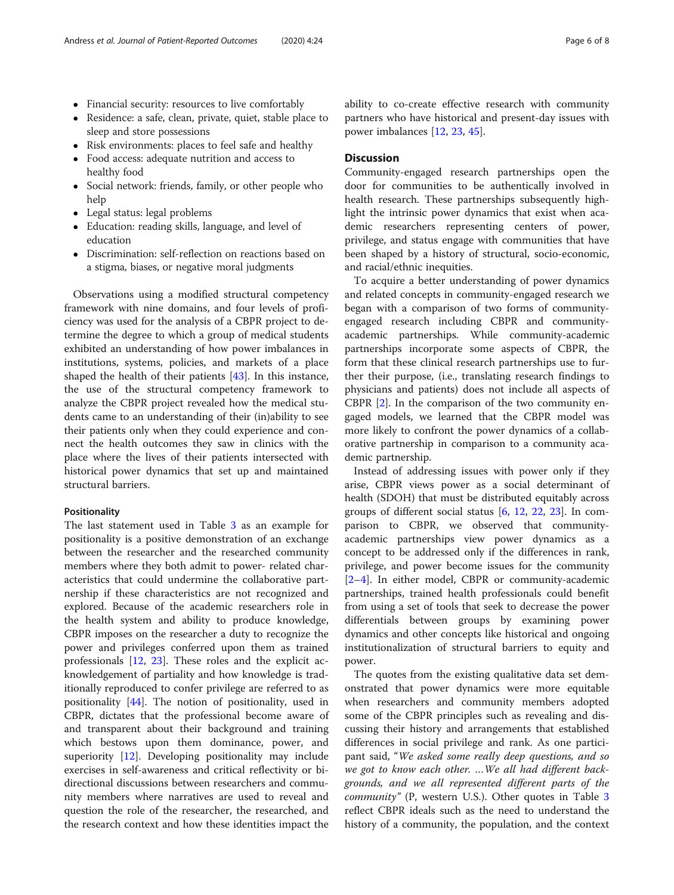- Financial security: resources to live comfortably
- Residence: a safe, clean, private, quiet, stable place to sleep and store possessions
- Risk environments: places to feel safe and healthy
- Food access: adequate nutrition and access to healthy food
- Social network: friends, family, or other people who help
- Legal status: legal problems
- Education: reading skills, language, and level of education
- Discrimination: self-reflection on reactions based on a stigma, biases, or negative moral judgments

Observations using a modified structural competency framework with nine domains, and four levels of proficiency was used for the analysis of a CBPR project to determine the degree to which a group of medical students exhibited an understanding of how power imbalances in institutions, systems, policies, and markets of a place shaped the health of their patients [[43\]](#page-9-0). In this instance, the use of the structural competency framework to analyze the CBPR project revealed how the medical students came to an understanding of their (in)ability to see their patients only when they could experience and connect the health outcomes they saw in clinics with the place where the lives of their patients intersected with historical power dynamics that set up and maintained structural barriers.

#### Positionality

The last statement used in Table [3](#page-6-0) as an example for positionality is a positive demonstration of an exchange between the researcher and the researched community members where they both admit to power- related characteristics that could undermine the collaborative partnership if these characteristics are not recognized and explored. Because of the academic researchers role in the health system and ability to produce knowledge, CBPR imposes on the researcher a duty to recognize the power and privileges conferred upon them as trained professionals [\[12,](#page-9-0) [23\]](#page-9-0). These roles and the explicit acknowledgement of partiality and how knowledge is traditionally reproduced to confer privilege are referred to as positionality [[44\]](#page-9-0). The notion of positionality, used in CBPR, dictates that the professional become aware of and transparent about their background and training which bestows upon them dominance, power, and superiority [\[12](#page-9-0)]. Developing positionality may include exercises in self-awareness and critical reflectivity or bidirectional discussions between researchers and community members where narratives are used to reveal and question the role of the researcher, the researched, and the research context and how these identities impact the ability to co-create effective research with community partners who have historical and present-day issues with power imbalances [\[12](#page-9-0), [23,](#page-9-0) [45\]](#page-9-0).

#### **Discussion**

Community-engaged research partnerships open the door for communities to be authentically involved in health research. These partnerships subsequently highlight the intrinsic power dynamics that exist when academic researchers representing centers of power, privilege, and status engage with communities that have been shaped by a history of structural, socio-economic, and racial/ethnic inequities.

To acquire a better understanding of power dynamics and related concepts in community-engaged research we began with a comparison of two forms of communityengaged research including CBPR and communityacademic partnerships. While community-academic partnerships incorporate some aspects of CBPR, the form that these clinical research partnerships use to further their purpose, (i.e., translating research findings to physicians and patients) does not include all aspects of CBPR [\[2](#page-8-0)]. In the comparison of the two community engaged models, we learned that the CBPR model was more likely to confront the power dynamics of a collaborative partnership in comparison to a community academic partnership.

Instead of addressing issues with power only if they arise, CBPR views power as a social determinant of health (SDOH) that must be distributed equitably across groups of different social status [[6](#page-8-0), [12](#page-9-0), [22,](#page-9-0) [23\]](#page-9-0). In comparison to CBPR, we observed that communityacademic partnerships view power dynamics as a concept to be addressed only if the differences in rank, privilege, and power become issues for the community [[2](#page-8-0)–[4\]](#page-8-0). In either model, CBPR or community-academic partnerships, trained health professionals could benefit from using a set of tools that seek to decrease the power differentials between groups by examining power dynamics and other concepts like historical and ongoing institutionalization of structural barriers to equity and power.

The quotes from the existing qualitative data set demonstrated that power dynamics were more equitable when researchers and community members adopted some of the CBPR principles such as revealing and discussing their history and arrangements that established differences in social privilege and rank. As one participant said, "We asked some really deep questions, and so we got to know each other. …We all had different backgrounds, and we all represented different parts of the community" (P, western U.S.). Other quotes in Table [3](#page-6-0) reflect CBPR ideals such as the need to understand the history of a community, the population, and the context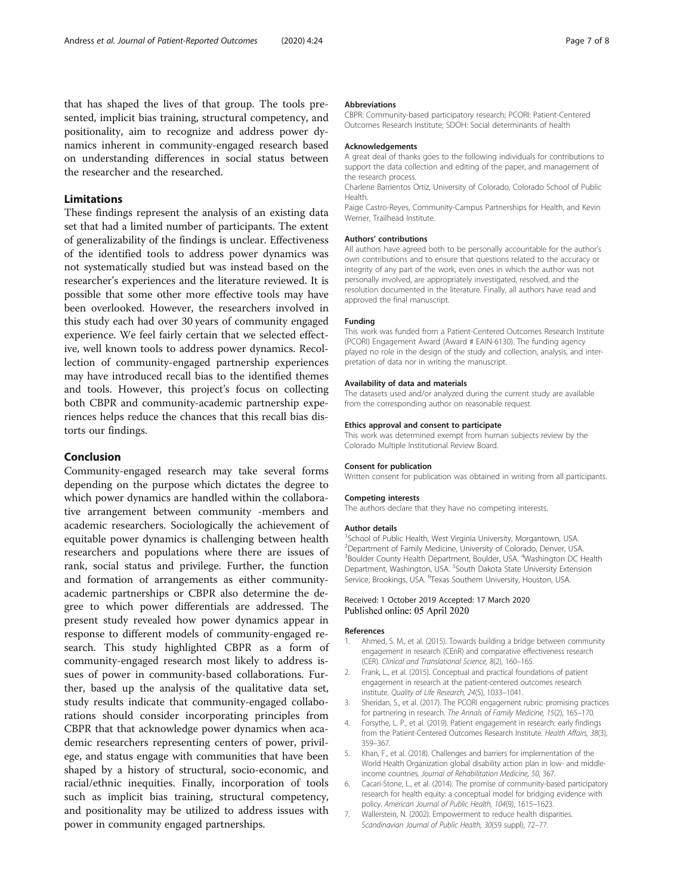<span id="page-8-0"></span>that has shaped the lives of that group. The tools presented, implicit bias training, structural competency, and positionality, aim to recognize and address power dynamics inherent in community-engaged research based on understanding differences in social status between the researcher and the researched.

#### Limitations

These findings represent the analysis of an existing data set that had a limited number of participants. The extent of generalizability of the findings is unclear. Effectiveness of the identified tools to address power dynamics was not systematically studied but was instead based on the researcher's experiences and the literature reviewed. It is possible that some other more effective tools may have been overlooked. However, the researchers involved in this study each had over 30 years of community engaged experience. We feel fairly certain that we selected effective, well known tools to address power dynamics. Recollection of community-engaged partnership experiences may have introduced recall bias to the identified themes and tools. However, this project's focus on collecting both CBPR and community-academic partnership experiences helps reduce the chances that this recall bias distorts our findings.

#### Conclusion

Community-engaged research may take several forms depending on the purpose which dictates the degree to which power dynamics are handled within the collaborative arrangement between community -members and academic researchers. Sociologically the achievement of equitable power dynamics is challenging between health researchers and populations where there are issues of rank, social status and privilege. Further, the function and formation of arrangements as either communityacademic partnerships or CBPR also determine the degree to which power differentials are addressed. The present study revealed how power dynamics appear in response to different models of community-engaged research. This study highlighted CBPR as a form of community-engaged research most likely to address issues of power in community-based collaborations. Further, based up the analysis of the qualitative data set, study results indicate that community-engaged collaborations should consider incorporating principles from CBPR that that acknowledge power dynamics when academic researchers representing centers of power, privilege, and status engage with communities that have been shaped by a history of structural, socio-economic, and racial/ethnic inequities. Finally, incorporation of tools such as implicit bias training, structural competency, and positionality may be utilized to address issues with power in community engaged partnerships.

#### Abbreviations

CBPR: Community-based participatory research; PCORI: Patient-Centered Outcomes Research Institute; SDOH: Social determinants of health

#### Acknowledgements

A great deal of thanks goes to the following individuals for contributions to support the data collection and editing of the paper, and management of the research process.

Charlene Barrientos Ortiz, University of Colorado, Colorado School of Public Health.

Paige Castro-Reyes, Community-Campus Partnerships for Health, and Kevin Werner, Trailhead Institute.

#### Authors' contributions

All authors have agreed both to be personally accountable for the author's own contributions and to ensure that questions related to the accuracy or integrity of any part of the work, even ones in which the author was not personally involved, are appropriately investigated, resolved, and the resolution documented in the literature. Finally, all authors have read and approved the final manuscript.

#### Funding

This work was funded from a Patient-Centered Outcomes Research Institute (PCORI) Engagement Award (Award # EAIN-6130). The funding agency played no role in the design of the study and collection, analysis, and interpretation of data nor in writing the manuscript.

#### Availability of data and materials

The datasets used and/or analyzed during the current study are available from the corresponding author on reasonable request.

#### Ethics approval and consent to participate

This work was determined exempt from human subjects review by the Colorado Multiple Institutional Review Board.

#### Consent for publication

Written consent for publication was obtained in writing from all participants.

#### Competing interests

The authors declare that they have no competing interests.

#### Author details

<sup>1</sup>School of Public Health, West Virginia University, Morgantown, USA. <sup>2</sup> Department of Family Medicine, University of Colorado, Denver, USA <sup>3</sup>Boulder County Health Department, Boulder, USA. <sup>4</sup>Washington DC Health Department, Washington, USA. <sup>5</sup>South Dakota State University Extension Service, Brookings, USA. <sup>6</sup> Texas Southern University, Houston, USA.

#### Received: 1 October 2019 Accepted: 17 March 2020 Published online: 05 April 2020

#### References

- Ahmed, S. M., et al. (2015). Towards building a bridge between community engagement in research (CEnR) and comparative effectiveness research (CER). Clinical and Translational Science, 8(2), 160–165.
- 2. Frank, L., et al. (2015). Conceptual and practical foundations of patient engagement in research at the patient-centered outcomes research institute. Quality of Life Research, 24(5), 1033–1041.
- 3. Sheridan, S., et al. (2017). The PCORI engagement rubric: promising practices for partnering in research. The Annals of Family Medicine, 15(2), 165–170.
- 4. Forsythe, L. P., et al. (2019). Patient engagement in research: early findings from the Patient-Centered Outcomes Research Institute. Health Affairs, 38(3), 359–367.
- 5. Khan, F., et al. (2018). Challenges and barriers for implementation of the World Health Organization global disability action plan in low- and middleincome countries. Journal of Rehabilitation Medicine, 50, 367.
- 6. Cacari-Stone, L., et al. (2014). The promise of community-based participatory research for health equity: a conceptual model for bridging evidence with policy. American Journal of Public Health, 104(9), 1615–1623.
- 7. Wallerstein, N. (2002). Empowerment to reduce health disparities. Scandinavian Journal of Public Health, 30(59 suppl), 72–77.